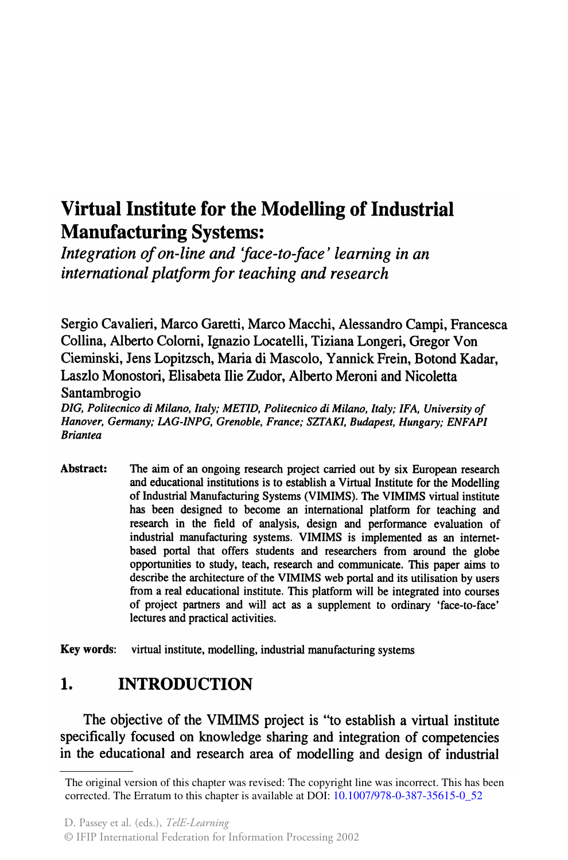# Virtual Institute for the Modelling of Industrial **Manufacturing Systems:**

Integration of on-line and 'face-to-face' learning in an international platform for teaching and research

Sergio Cavalieri, Marco Garetti, Marco Macchi, Alessandro Campi, Francesca Collina, Alberto Colorni, Ignazio Locatelli, Tiziana Longeri, Gregor Von Cieminski, Jens Lopitzsch, Maria di Mascolo, Yannick Frein, Botond Kadar, Laszlo Monostori, Elisabeta Ilie Zudor, Alberto Meroni and Nicoletta Santambrogio

DIG, Politecnico di Milano, Italy; METID, Politecnico di Milano, Italy; IFA, University of Hanover, Germany; LAG-INPG, Grenoble, France; SZTAKI, Budapest, Hungary; ENFAPI **Briantea** 

Abstract: The aim of an ongoing research project carried out by six European research and educational institutions is to establish a Virtual Institute for the Modelling of Industrial Manufacturing Systems (VIMIMS). The VIMIMS virtual institute has been designed to become an international platform for teaching and research in the field of analysis, design and performance evaluation of industrial manufacturing systems. VIMIMS is implemented as an internetbased portal that offers students and researchers from around the globe opportunities to study, teach, research and communicate. This paper aims to describe the architecture of the VIMIMS web portal and its utilisation by users from a real educational institute. This platform will be integrated into courses of project partners and will act as a supplement to ordinary 'face-to-face' lectures and practical activities.

Key words: virtual institute, modelling, industrial manufacturing systems

#### 1. **INTRODUCTION**

The objective of the VIMIMS project is "to establish a virtual institute specifically focused on knowledge sharing and integration of competencies in the educational and research area of modelling and design of industrial

The original version of this chapter was revised: The copyright line was incorrect. This has been corrected. The Erratum to this chapter is available at DOI: [10.1007/978-0-387-35615-0\\_52](http://dx.doi.org/10.1007/978-0-387-35615-0_52)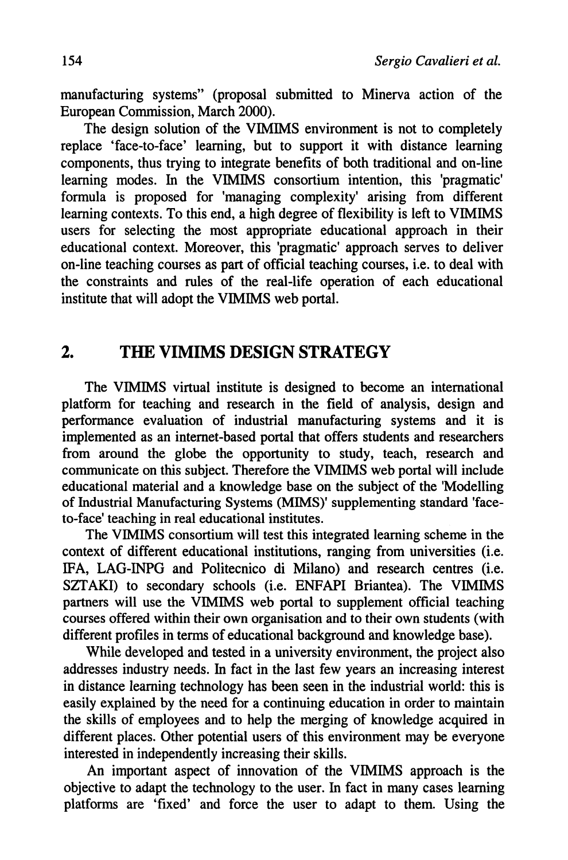manufacturing systems" (proposal submitted to Minerva action of the European Commission, March 2000).

The design solution of the VIMIMS environment is not to completely replace 'face-to-face' learning, but to support it with distance learning components, thus trying to integrate benefits of both traditional and on-line learning modes. In the VIMIMS consortium intention, this 'pragmatic' formula is proposed for 'managing complexity' arising from different learning contexts. To this end, a high degree of flexibility is left to VIMIMS users for selecting the most appropriate educational approach in their educational context. Moreover, this 'pragmatic' approach serves to deliver on-line teaching courses as part of official teaching courses, i.e. to deal with the constraints and rules of the real-life operation of each educational institute that will adopt the VIMIMS web portal.

#### **2. THE VIMIMS DESIGN STRATEGY**

The VIMIMS virtual institute is designed to become an international platform for teaching and research in the field of analysis, design and performance evaluation of industrial manufacturing systems and it is implemented as an internet-based portal that offers students and researchers from around the globe the opportunity to study, teach, research and communicate on this subject. Therefore the VIMIMS web portal will include educational material and a knowledge base on the subject of the 'Modelling of Industrial Manufacturing Systems (MIMS)' supplementing standard 'faceto-face' teaching in real educational institutes.

The VIMIMS consortium will test this integrated learning scheme in the context of different educational institutions, ranging from universities (i.e. IFA, LAG-INPG and Politecnico di Milano) and research centres (i.e. SZTAKI) to secondary schools (i.e. ENFAPI Briantea). The VIMIMS partners will use the VIMIMS web portal to supplement official teaching courses offered within their own organisation and to their own students (with different profiles in terms of educational background and knowledge base).

While developed and tested in a university environment, the project also addresses industry needs. In fact in the last few years an increasing interest in distance learning technology has been seen in the industrial world: this is easily explained by the need for a continuing education in order to maintain the skills of employees and to help the merging of knowledge acquired in different places. Other potential users of this environment may be everyone interested in independently increasing their skills.

An important aspect of innovation of the VIMIMS approach is the objective to adapt the technology to the user. In fact in many cases learning platforms are 'fixed' and force the user to adapt to them. Using the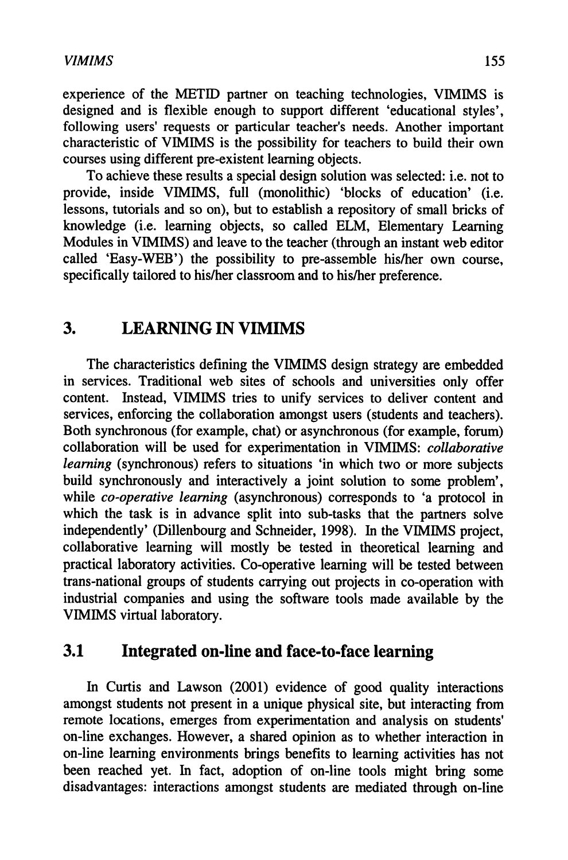experience of the METID partner on teaching technologies, VIMIMS is designed and is flexible enough to support different 'educational styles', following users' requests or particular teacher's needs. Another important characteristic of VIMIMS is the possibility for teachers to build their own courses using different pre-existent learning objects.

To achieve these results a special design solution was selected: i.e. not to provide, inside VIMIMS, full (monolithic) 'blocks of education' (i.e. lessons, tutorials and so on), but to establish a repository of small bricks of knowledge (i.e. learning objects, so called ELM, Elementary Learning Modules in VIMIMS) and leave to the teacher (through an instant web editor called 'Easy-WEB') the possibility to pre-assemble his/her own course, specifically tailored to his/her classroom and to his/her preference.

#### **3. LEARNING IN VIMIMS**

The characteristics defining the VIMIMS design strategy are embedded in services. Traditional web sites of schools and universities only offer content. Instead, VIMIMS tries to unify services to deliver content and services, enforcing the collaboration amongst users (students and teachers). Both synchronous (for example, chat) or asynchronous (for example, forum) collaboration will be used for experimentation in VIMIMS: *collaborative learning* (synchronous) refers to situations 'in which two or more subjects build synchronously and interactively a joint solution to some problem', while *co-operative learning* (asynchronous) corresponds to 'a protocol in which the task is in advance split into sub-tasks that the partners solve independently' (Dillenbourg and Schneider, 1998). In the VIMIMS project, collaborative learning will mostly be tested in theoretical learning and practical laboratory activities. Co-operative learning will be tested between trans-national groups of students carrying out projects in co-operation with industrial companies and using the software tools made available by the VIMIMS virtual laboratory.

#### **3.1 Integrated on-line and face-to-face learning**

In Curtis and Lawson (2001) evidence of good quality interactions amongst students not present in a unique physical site, but interacting from remote locations, emerges from experimentation and analysis on students' on-line exchanges. However, a shared opinion as to whether interaction in on-line learning environments brings benefits to learning activities has not been reached yet. In fact, adoption of on-line tools might bring some disadvantages: interactions amongst students are mediated through on-line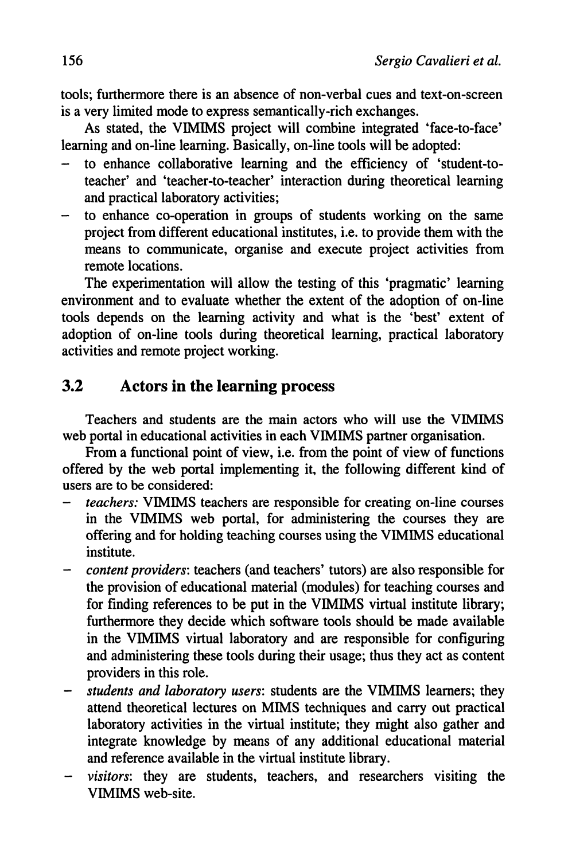tools; furthermore there is an absence of non-verbal cues and text-on-screen is a very limited mode to express semantically-rich exchanges.

As stated, the VIMIMS project will combine integrated 'face-to-face' learning and on-line learning. Basically, on-line tools will be adopted:

- to enhance collaborative learning and the efficiency of 'student-toteacher' and 'teacher-to-teacher' interaction during theoretical learning and practical laboratory activities;
- to enhance co-operation in groups of students working on the same project from different educational institutes, i.e. to provide them with the means to communicate, organise and execute project activities from remote locations.

The experimentation will allow the testing of this 'pragmatic' learning environment and to evaluate whether the extent of the adoption of on-line tools depends on the learning activity and what is the 'best' extent of adoption of on-line tools during theoretical learning, practical laboratory activities and remote project working.

## **3.2 Actors in the learning process**

Teachers and students are the main actors who will use the VIMIMS web portal in educational activities in each VIMIMS partner organisation.

From a functional point of view, i.e. from the point of view of functions offered by the web portal implementing it, the following different kind of users are to be considered:

- *- teachers:* VIMIMS teachers are responsible for creating on-line courses in the VIMIMS web portal, for administering the courses they are offering and for holding teaching courses using the VIMIMS educational institute.
- *- content providers:* teachers (and teachers' tutors) are also responsible for the provision of educational material (modules) for teaching courses and for finding references to be put in the VIMIMS virtual institute library; furthermore they decide which software tools should be made available in the VIMIMS virtual laboratory and are responsible for configuring and administering these tools during their usage; thus they act as content providers in this role.
- *- students and laboratory users:* students are the VIMIMS learners; they attend theoretical lectures on MIMS techniques and carry out practical laboratory activities in the virtual institute; they might also gather and integrate knowledge by means of any additional educational material and reference available in the virtual institute library.
- *visitors*: they are students, teachers, and researchers visiting the VIMIMS web-site.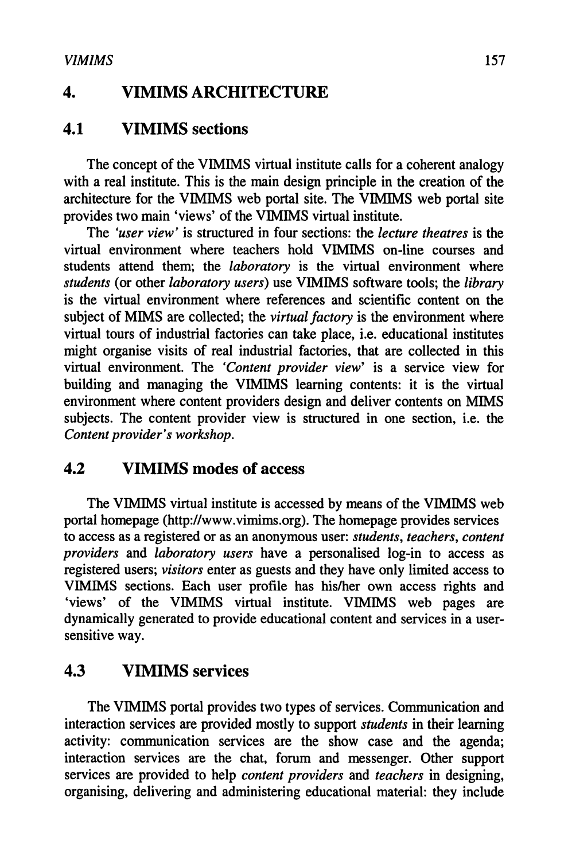## 4. VIMIMS ARCHITECTURE

#### 4.1 VIMIMS sections

The concept of the VIMIMS virtual institute calls for a coherent analogy with a real institute. This is the main design principle in the creation of the architecture for the VIMIMS web portal site. The VIMIMS web portal site provides two main 'views' of the VIMIMS virtual institute.

The *'user view'* is structured in four sections: the *lecture theatres* is the virtual environment where teachers hold VIMIMS on-line courses and students attend them; the *laboratory* is the virtual environment where *students* (or other *laboratory users)* use VIMIMS software tools; the *library*  is the virtual environment where references and scientific content on the subject of MIMS are collected; the *virtual factory* is the environment where virtual tours of industrial factories can take place, i.e. educational institutes might organise visits of real industrial factories, that are collected in this virtual environment. The *'Content provider view'* is a service view for building and managing the VIMIMS learning contents: it is the virtual environment where content providers design and deliver contents on MIMS subjects. The content provider view is structured in one section, i.e. the *Content provider's workshop.* 

#### 4.2 VIMIMS modes of access

The VIMIMS virtual institute is accessed by means of the VIMIMS web portal homepage (http://www.vimims.org). The homepage provides services to access as a registered or as an anonymous user: *students, teachers, content providers* and *laboratory users* have a personalised log-in to access as registered users; *visitors* enter as guests and they have only limited access to VIMIMS sections. Each user profile has his/her own access rights and 'views' of the VIMIMS virtual institute. VIMIMS web pages are dynamically generated to provide educational content and services in a usersensitive way.

# 4.3 VIMIMS services

The VIMIMS portal provides two types of services. Communication and interaction services are provided mostly to support *students* in their learning activity: communication services are the show case and the agenda; interaction services are the chat, forum and messenger. Other support services are provided to help *content providers* and *teachers* in designing, organising, delivering and administering educational material: they include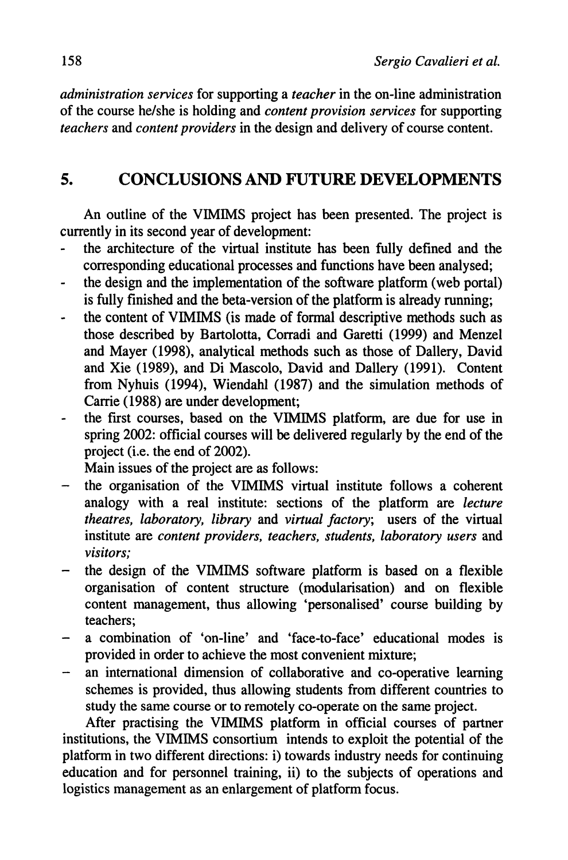*administration services* for supporting a *teacher* in the on-line administration of the course he/she is holding and *content provision services* for supporting *teachers* and *content providers* in the design and delivery of course content.

#### **5. CONCLUSIONS AND FUTURE DEVELOPMENTS**

An outline of the VIMIMS project has been presented. The project is currently in its second year of development:

- the architecture of the virtual institute has been fully defined and the corresponding educational processes and functions have been analysed;
- the design and the implementation of the software platform (web portal)  $\omega$ is fully finished and the beta-version of the platform is already running;
- the content of VIMIMS (is made of formal descriptive methods such as  $\blacksquare$ those described by Bartolotta, Corradi and Garetti (1999) and Menzel and Mayer (1998), analytical methods such as those of Dallery, David and Xie (1989), and Di Mascolo, David and Dallery (1991). Content from Nyhuis (1994), Wiendahl (1987) and the simulation methods of Carrie (1988) are under development;
- the first courses, based on the VIMIMS platform, are due for use in spring 2002: official courses will be delivered regularly by the end of the project (*i.e.* the end of 2002).
	- Main issues of the project are as follows:
- the organisation of the VIMIMS virtual institute follows a coherent analogy with a real institute: sections of the platform are *lecture theatres, laboratory, library* and *virtual factory;* users of the virtual institute are *content providers, teachers, students, laboratory users* and *visitors;*
- the design of the VIMIMS software platform is based on a flexible organisation of content structure (modularisation) and on flexible content management, thus allowing 'personalised' course building by teachers;
- a combination of 'on-line' and 'face-to-face' educational modes is provided in order to achieve the most convenient mixture;
- an international dimension of collaborative and co-operative learning schemes is provided, thus allowing students from different countries to study the same course or to remotely co-operate on the same project.

After practising the VIMIMS platform in official courses of partner institutions, the VIMIMS consortium intends to exploit the potential of the platform in two different directions: i) towards industry needs for continuing education and for personnel training, ii) to the subjects of operations and logistics management as an enlargement of platform focus.